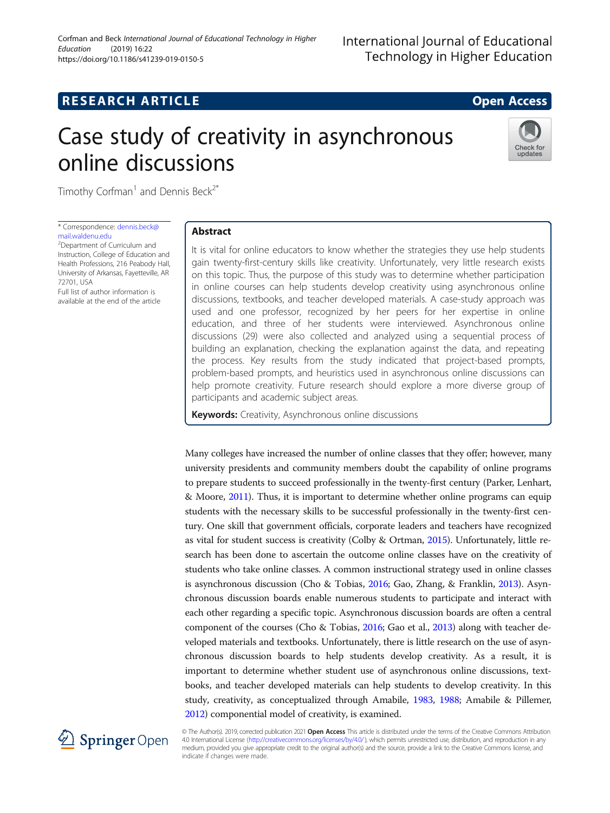# **RESEARCH ARTICLE Example 2014 The SEAR CH ACCESS**

# Case study of creativity in asynchronous online discussions



Timothy Corfman<sup>1</sup> and Dennis Beck<sup>2\*</sup>

\* Correspondence: [dennis.beck@](mailto:dennis.beck@mail.waldenu.edu) **Abstract**<br>[mail.waldenu.edu](mailto:dennis.beck@mail.waldenu.edu) **Abstract** 

<sup>2</sup>Department of Curriculum and Instruction, College of Education and Health Professions, 216 Peabody Hall, University of Arkansas, Fayetteville, AR 72701, USA

Full list of author information is available at the end of the article

It is vital for online educators to know whether the strategies they use help students gain twenty-first-century skills like creativity. Unfortunately, very little research exists on this topic. Thus, the purpose of this study was to determine whether participation in online courses can help students develop creativity using asynchronous online discussions, textbooks, and teacher developed materials. A case-study approach was used and one professor, recognized by her peers for her expertise in online education, and three of her students were interviewed. Asynchronous online discussions (29) were also collected and analyzed using a sequential process of building an explanation, checking the explanation against the data, and repeating the process. Key results from the study indicated that project-based prompts, problem-based prompts, and heuristics used in asynchronous online discussions can help promote creativity. Future research should explore a more diverse group of participants and academic subject areas.

**Keywords:** Creativity, Asynchronous online discussions

Many colleges have increased the number of online classes that they offer; however, many university presidents and community members doubt the capability of online programs to prepare students to succeed professionally in the twenty-first century (Parker, Lenhart, & Moore, [2011\)](#page-18-0). Thus, it is important to determine whether online programs can equip students with the necessary skills to be successful professionally in the twenty-first century. One skill that government officials, corporate leaders and teachers have recognized as vital for student success is creativity (Colby & Ortman, [2015\)](#page-18-0). Unfortunately, little research has been done to ascertain the outcome online classes have on the creativity of students who take online classes. A common instructional strategy used in online classes is asynchronous discussion (Cho & Tobias, [2016;](#page-18-0) Gao, Zhang, & Franklin, [2013](#page-18-0)). Asynchronous discussion boards enable numerous students to participate and interact with each other regarding a specific topic. Asynchronous discussion boards are often a central component of the courses (Cho & Tobias, [2016;](#page-18-0) Gao et al., [2013\)](#page-18-0) along with teacher developed materials and textbooks. Unfortunately, there is little research on the use of asynchronous discussion boards to help students develop creativity. As a result, it is important to determine whether student use of asynchronous online discussions, textbooks, and teacher developed materials can help students to develop creativity. In this study, creativity, as conceptualized through Amabile, [1983,](#page-18-0) [1988](#page-18-0); Amabile & Pillemer, [2012\)](#page-18-0) componential model of creativity, is examined.



© The Author(s). 2019, corrected publication 2021 Open Access This article is distributed under the terms of the Creative Commons Attribution 4.0 Inter[national License \(http://creativecommons.org/lic](http://creativecommons.org/licenses/by/4.0/)enses/by/4.0/), which permits unrestricted use, distribution, and reproduction in any medium, provided you give appropriate credit to the original author(s) and the source, provide a link to the Creative Commons license, and indicate if changes were made.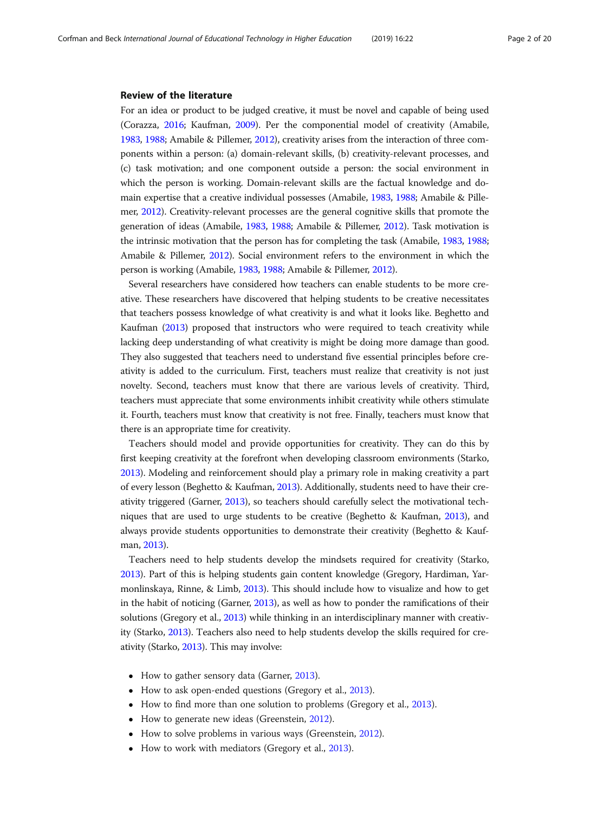#### Review of the literature

For an idea or product to be judged creative, it must be novel and capable of being used (Corazza, [2016;](#page-18-0) Kaufman, [2009](#page-18-0)). Per the componential model of creativity (Amabile, [1983,](#page-18-0) [1988;](#page-18-0) Amabile & Pillemer, [2012\)](#page-18-0), creativity arises from the interaction of three components within a person: (a) domain-relevant skills, (b) creativity-relevant processes, and (c) task motivation; and one component outside a person: the social environment in which the person is working. Domain-relevant skills are the factual knowledge and domain expertise that a creative individual possesses (Amabile, [1983,](#page-18-0) [1988;](#page-18-0) Amabile & Pillemer, [2012](#page-18-0)). Creativity-relevant processes are the general cognitive skills that promote the generation of ideas (Amabile, [1983](#page-18-0), [1988](#page-18-0); Amabile & Pillemer, [2012](#page-18-0)). Task motivation is the intrinsic motivation that the person has for completing the task (Amabile, [1983](#page-18-0), [1988](#page-18-0); Amabile & Pillemer, [2012\)](#page-18-0). Social environment refers to the environment in which the person is working (Amabile, [1983,](#page-18-0) [1988;](#page-18-0) Amabile & Pillemer, [2012\)](#page-18-0).

Several researchers have considered how teachers can enable students to be more creative. These researchers have discovered that helping students to be creative necessitates that teachers possess knowledge of what creativity is and what it looks like. Beghetto and Kaufman [\(2013\)](#page-18-0) proposed that instructors who were required to teach creativity while lacking deep understanding of what creativity is might be doing more damage than good. They also suggested that teachers need to understand five essential principles before creativity is added to the curriculum. First, teachers must realize that creativity is not just novelty. Second, teachers must know that there are various levels of creativity. Third, teachers must appreciate that some environments inhibit creativity while others stimulate it. Fourth, teachers must know that creativity is not free. Finally, teachers must know that there is an appropriate time for creativity.

Teachers should model and provide opportunities for creativity. They can do this by first keeping creativity at the forefront when developing classroom environments (Starko, [2013\)](#page-19-0). Modeling and reinforcement should play a primary role in making creativity a part of every lesson (Beghetto & Kaufman, [2013\)](#page-18-0). Additionally, students need to have their creativity triggered (Garner, [2013](#page-18-0)), so teachers should carefully select the motivational techniques that are used to urge students to be creative (Beghetto & Kaufman, [2013\)](#page-18-0), and always provide students opportunities to demonstrate their creativity (Beghetto & Kaufman, [2013](#page-18-0)).

Teachers need to help students develop the mindsets required for creativity (Starko, [2013\)](#page-19-0). Part of this is helping students gain content knowledge (Gregory, Hardiman, Yarmonlinskaya, Rinne, & Limb, [2013](#page-18-0)). This should include how to visualize and how to get in the habit of noticing (Garner, [2013](#page-18-0)), as well as how to ponder the ramifications of their solutions (Gregory et al., [2013\)](#page-18-0) while thinking in an interdisciplinary manner with creativity (Starko, [2013\)](#page-19-0). Teachers also need to help students develop the skills required for creativity (Starko, [2013](#page-19-0)). This may involve:

- How to gather sensory data (Garner, [2013](#page-18-0)).
- How to ask open-ended questions (Gregory et al., [2013\)](#page-18-0).
- How to find more than one solution to problems (Gregory et al., [2013\)](#page-18-0).
- How to generate new ideas (Greenstein, [2012](#page-18-0)).
- How to solve problems in various ways (Greenstein, [2012](#page-18-0)).
- How to work with mediators (Gregory et al., [2013](#page-18-0)).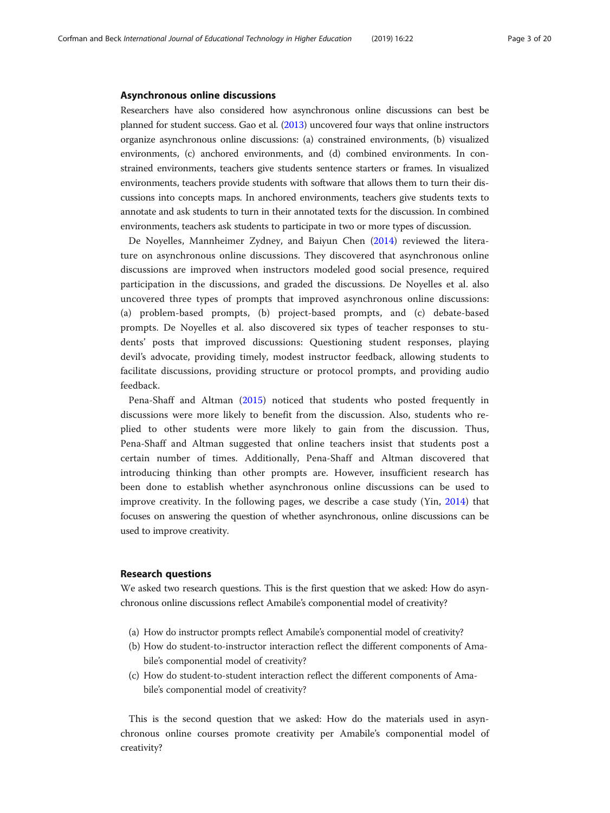#### Asynchronous online discussions

Researchers have also considered how asynchronous online discussions can best be planned for student success. Gao et al. ([2013\)](#page-18-0) uncovered four ways that online instructors organize asynchronous online discussions: (a) constrained environments, (b) visualized environments, (c) anchored environments, and (d) combined environments. In constrained environments, teachers give students sentence starters or frames. In visualized environments, teachers provide students with software that allows them to turn their discussions into concepts maps. In anchored environments, teachers give students texts to annotate and ask students to turn in their annotated texts for the discussion. In combined environments, teachers ask students to participate in two or more types of discussion.

De Noyelles, Mannheimer Zydney, and Baiyun Chen ([2014\)](#page-18-0) reviewed the literature on asynchronous online discussions. They discovered that asynchronous online discussions are improved when instructors modeled good social presence, required participation in the discussions, and graded the discussions. De Noyelles et al. also uncovered three types of prompts that improved asynchronous online discussions: (a) problem-based prompts, (b) project-based prompts, and (c) debate-based prompts. De Noyelles et al. also discovered six types of teacher responses to students' posts that improved discussions: Questioning student responses, playing devil's advocate, providing timely, modest instructor feedback, allowing students to facilitate discussions, providing structure or protocol prompts, and providing audio feedback.

Pena-Shaff and Altman ([2015\)](#page-19-0) noticed that students who posted frequently in discussions were more likely to benefit from the discussion. Also, students who replied to other students were more likely to gain from the discussion. Thus, Pena-Shaff and Altman suggested that online teachers insist that students post a certain number of times. Additionally, Pena-Shaff and Altman discovered that introducing thinking than other prompts are. However, insufficient research has been done to establish whether asynchronous online discussions can be used to improve creativity. In the following pages, we describe a case study (Yin, [2014\)](#page-19-0) that focuses on answering the question of whether asynchronous, online discussions can be used to improve creativity.

#### Research questions

We asked two research questions. This is the first question that we asked: How do asynchronous online discussions reflect Amabile's componential model of creativity?

- (a) How do instructor prompts reflect Amabile's componential model of creativity?
- (b) How do student-to-instructor interaction reflect the different components of Amabile's componential model of creativity?
- (c) How do student-to-student interaction reflect the different components of Amabile's componential model of creativity?

This is the second question that we asked: How do the materials used in asynchronous online courses promote creativity per Amabile's componential model of creativity?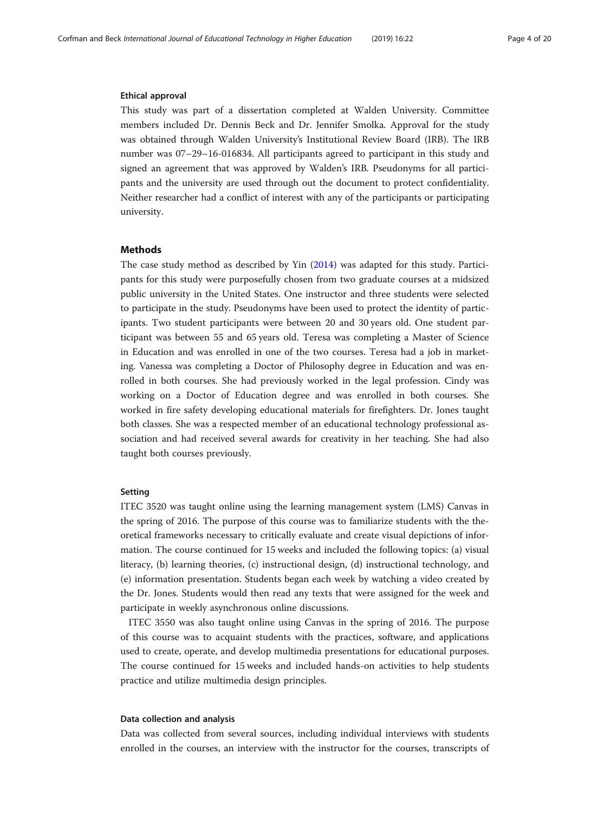#### Ethical approval

This study was part of a dissertation completed at Walden University. Committee members included Dr. Dennis Beck and Dr. Jennifer Smolka. Approval for the study was obtained through Walden University's Institutional Review Board (IRB). The IRB number was 07–29–16-016834. All participants agreed to participant in this study and signed an agreement that was approved by Walden's IRB. Pseudonyms for all participants and the university are used through out the document to protect confidentiality. Neither researcher had a conflict of interest with any of the participants or participating university.

#### Methods

The case study method as described by Yin [\(2014\)](#page-19-0) was adapted for this study. Participants for this study were purposefully chosen from two graduate courses at a midsized public university in the United States. One instructor and three students were selected to participate in the study. Pseudonyms have been used to protect the identity of participants. Two student participants were between 20 and 30 years old. One student participant was between 55 and 65 years old. Teresa was completing a Master of Science in Education and was enrolled in one of the two courses. Teresa had a job in marketing. Vanessa was completing a Doctor of Philosophy degree in Education and was enrolled in both courses. She had previously worked in the legal profession. Cindy was working on a Doctor of Education degree and was enrolled in both courses. She worked in fire safety developing educational materials for firefighters. Dr. Jones taught both classes. She was a respected member of an educational technology professional association and had received several awards for creativity in her teaching. She had also taught both courses previously.

#### Setting

ITEC 3520 was taught online using the learning management system (LMS) Canvas in the spring of 2016. The purpose of this course was to familiarize students with the theoretical frameworks necessary to critically evaluate and create visual depictions of information. The course continued for 15 weeks and included the following topics: (a) visual literacy, (b) learning theories, (c) instructional design, (d) instructional technology, and (e) information presentation. Students began each week by watching a video created by the Dr. Jones. Students would then read any texts that were assigned for the week and participate in weekly asynchronous online discussions.

ITEC 3550 was also taught online using Canvas in the spring of 2016. The purpose of this course was to acquaint students with the practices, software, and applications used to create, operate, and develop multimedia presentations for educational purposes. The course continued for 15 weeks and included hands-on activities to help students practice and utilize multimedia design principles.

#### Data collection and analysis

Data was collected from several sources, including individual interviews with students enrolled in the courses, an interview with the instructor for the courses, transcripts of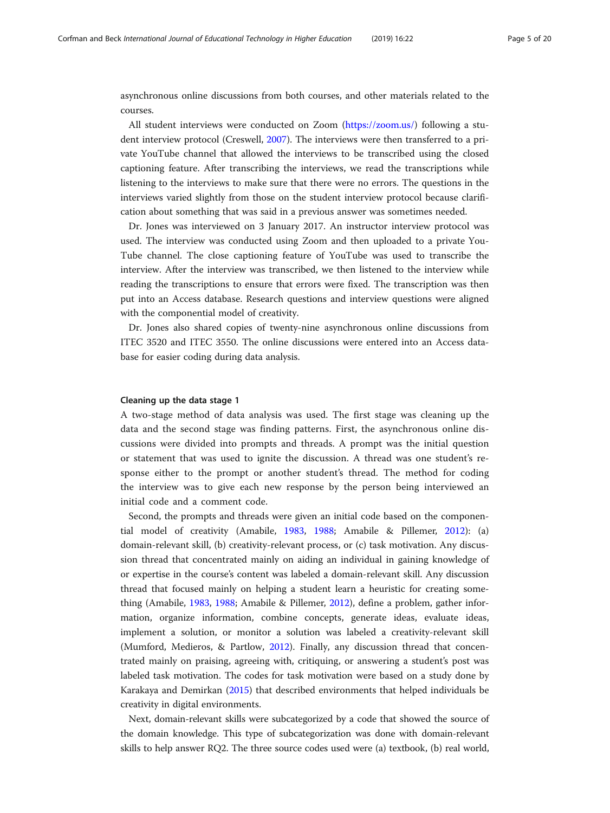asynchronous online discussions from both courses, and other materials related to the courses.

All student interviews were conducted on Zoom [\(https://zoom.us/\)](https://zoom.us/) following a student interview protocol (Creswell, [2007](#page-18-0)). The interviews were then transferred to a private YouTube channel that allowed the interviews to be transcribed using the closed captioning feature. After transcribing the interviews, we read the transcriptions while listening to the interviews to make sure that there were no errors. The questions in the interviews varied slightly from those on the student interview protocol because clarification about something that was said in a previous answer was sometimes needed.

Dr. Jones was interviewed on 3 January 2017. An instructor interview protocol was used. The interview was conducted using Zoom and then uploaded to a private You-Tube channel. The close captioning feature of YouTube was used to transcribe the interview. After the interview was transcribed, we then listened to the interview while reading the transcriptions to ensure that errors were fixed. The transcription was then put into an Access database. Research questions and interview questions were aligned with the componential model of creativity.

Dr. Jones also shared copies of twenty-nine asynchronous online discussions from ITEC 3520 and ITEC 3550. The online discussions were entered into an Access database for easier coding during data analysis.

#### Cleaning up the data stage 1

A two-stage method of data analysis was used. The first stage was cleaning up the data and the second stage was finding patterns. First, the asynchronous online discussions were divided into prompts and threads. A prompt was the initial question or statement that was used to ignite the discussion. A thread was one student's response either to the prompt or another student's thread. The method for coding the interview was to give each new response by the person being interviewed an initial code and a comment code.

Second, the prompts and threads were given an initial code based on the componential model of creativity (Amabile, [1983](#page-18-0), [1988](#page-18-0); Amabile & Pillemer, [2012](#page-18-0)): (a) domain-relevant skill, (b) creativity-relevant process, or (c) task motivation. Any discussion thread that concentrated mainly on aiding an individual in gaining knowledge of or expertise in the course's content was labeled a domain-relevant skill. Any discussion thread that focused mainly on helping a student learn a heuristic for creating something (Amabile, [1983,](#page-18-0) [1988;](#page-18-0) Amabile & Pillemer, [2012](#page-18-0)), define a problem, gather information, organize information, combine concepts, generate ideas, evaluate ideas, implement a solution, or monitor a solution was labeled a creativity-relevant skill (Mumford, Medieros, & Partlow, [2012\)](#page-18-0). Finally, any discussion thread that concentrated mainly on praising, agreeing with, critiquing, or answering a student's post was labeled task motivation. The codes for task motivation were based on a study done by Karakaya and Demirkan ([2015](#page-18-0)) that described environments that helped individuals be creativity in digital environments.

Next, domain-relevant skills were subcategorized by a code that showed the source of the domain knowledge. This type of subcategorization was done with domain-relevant skills to help answer RQ2. The three source codes used were (a) textbook, (b) real world,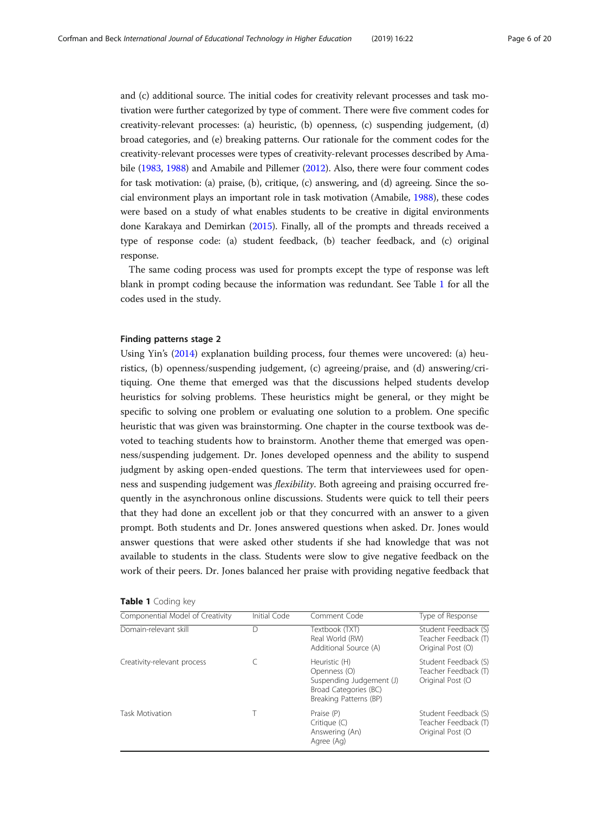and (c) additional source. The initial codes for creativity relevant processes and task motivation were further categorized by type of comment. There were five comment codes for creativity-relevant processes: (a) heuristic, (b) openness, (c) suspending judgement, (d) broad categories, and (e) breaking patterns. Our rationale for the comment codes for the creativity-relevant processes were types of creativity-relevant processes described by Amabile [\(1983](#page-18-0), [1988](#page-18-0)) and Amabile and Pillemer ([2012\)](#page-18-0). Also, there were four comment codes for task motivation: (a) praise, (b), critique, (c) answering, and (d) agreeing. Since the social environment plays an important role in task motivation (Amabile, [1988](#page-18-0)), these codes were based on a study of what enables students to be creative in digital environments done Karakaya and Demirkan ([2015\)](#page-18-0). Finally, all of the prompts and threads received a type of response code: (a) student feedback, (b) teacher feedback, and (c) original response.

The same coding process was used for prompts except the type of response was left blank in prompt coding because the information was redundant. See Table 1 for all the codes used in the study.

#### Finding patterns stage 2

Using Yin's [\(2014](#page-19-0)) explanation building process, four themes were uncovered: (a) heuristics, (b) openness/suspending judgement, (c) agreeing/praise, and (d) answering/critiquing. One theme that emerged was that the discussions helped students develop heuristics for solving problems. These heuristics might be general, or they might be specific to solving one problem or evaluating one solution to a problem. One specific heuristic that was given was brainstorming. One chapter in the course textbook was devoted to teaching students how to brainstorm. Another theme that emerged was openness/suspending judgement. Dr. Jones developed openness and the ability to suspend judgment by asking open-ended questions. The term that interviewees used for openness and suspending judgement was flexibility. Both agreeing and praising occurred frequently in the asynchronous online discussions. Students were quick to tell their peers that they had done an excellent job or that they concurred with an answer to a given prompt. Both students and Dr. Jones answered questions when asked. Dr. Jones would answer questions that were asked other students if she had knowledge that was not available to students in the class. Students were slow to give negative feedback on the work of their peers. Dr. Jones balanced her praise with providing negative feedback that

| Table 1 Coding key |  |  |
|--------------------|--|--|
|--------------------|--|--|

| Componential Model of Creativity | Initial Code | Comment Code                                                                                                 | Type of Response                                                  |
|----------------------------------|--------------|--------------------------------------------------------------------------------------------------------------|-------------------------------------------------------------------|
| Domain-relevant skill            |              | Textbook (TXT)<br>Real World (RW)<br>Additional Source (A)                                                   | Student Feedback (S)<br>Teacher Feedback (T)<br>Original Post (O) |
| Creativity-relevant process      |              | Heuristic (H)<br>Openness (O)<br>Suspending Judgement (J)<br>Broad Categories (BC)<br>Breaking Patterns (BP) | Student Feedback (S)<br>Teacher Feedback (T)<br>Original Post (O  |
| <b>Task Motivation</b>           |              | Praise (P)<br>Critique (C)<br>Answering (An)<br>Agree (Ag)                                                   | Student Feedback (S)<br>Teacher Feedback (T)<br>Original Post (O  |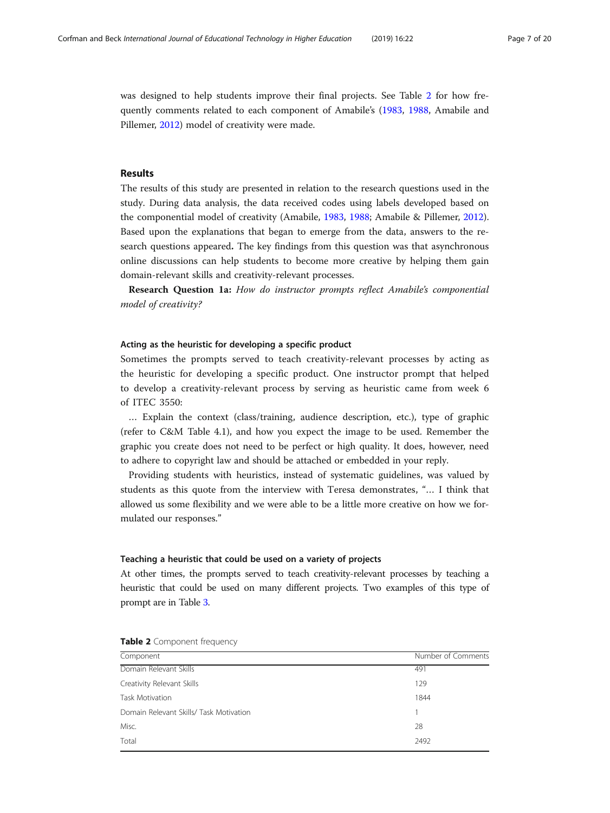was designed to help students improve their final projects. See Table 2 for how frequently comments related to each component of Amabile's [\(1983,](#page-18-0) [1988,](#page-18-0) Amabile and Pillemer, [2012](#page-18-0)) model of creativity were made.

## Results

The results of this study are presented in relation to the research questions used in the study. During data analysis, the data received codes using labels developed based on the componential model of creativity (Amabile, [1983,](#page-18-0) [1988;](#page-18-0) Amabile & Pillemer, [2012](#page-18-0)). Based upon the explanations that began to emerge from the data, answers to the research questions appeared. The key findings from this question was that asynchronous online discussions can help students to become more creative by helping them gain domain-relevant skills and creativity-relevant processes.

Research Question 1a: How do instructor prompts reflect Amabile's componential model of creativity?

#### Acting as the heuristic for developing a specific product

Sometimes the prompts served to teach creativity-relevant processes by acting as the heuristic for developing a specific product. One instructor prompt that helped to develop a creativity-relevant process by serving as heuristic came from week 6 of ITEC 3550:

… Explain the context (class/training, audience description, etc.), type of graphic (refer to C&M Table 4.1), and how you expect the image to be used. Remember the graphic you create does not need to be perfect or high quality. It does, however, need to adhere to copyright law and should be attached or embedded in your reply.

Providing students with heuristics, instead of systematic guidelines, was valued by students as this quote from the interview with Teresa demonstrates, "… I think that allowed us some flexibility and we were able to be a little more creative on how we formulated our responses."

### Teaching a heuristic that could be used on a variety of projects

At other times, the prompts served to teach creativity-relevant processes by teaching a heuristic that could be used on many different projects. Two examples of this type of prompt are in Table [3](#page-7-0).

| Component                               | Number of Comments |
|-----------------------------------------|--------------------|
| Domain Relevant Skills                  | 491                |
| Creativity Relevant Skills              | 129                |
| <b>Task Motivation</b>                  | 1844               |
| Domain Relevant Skills/ Task Motivation |                    |
| Misc.                                   | 28                 |
| Total                                   | 2492               |
|                                         |                    |

Table 2 Component frequency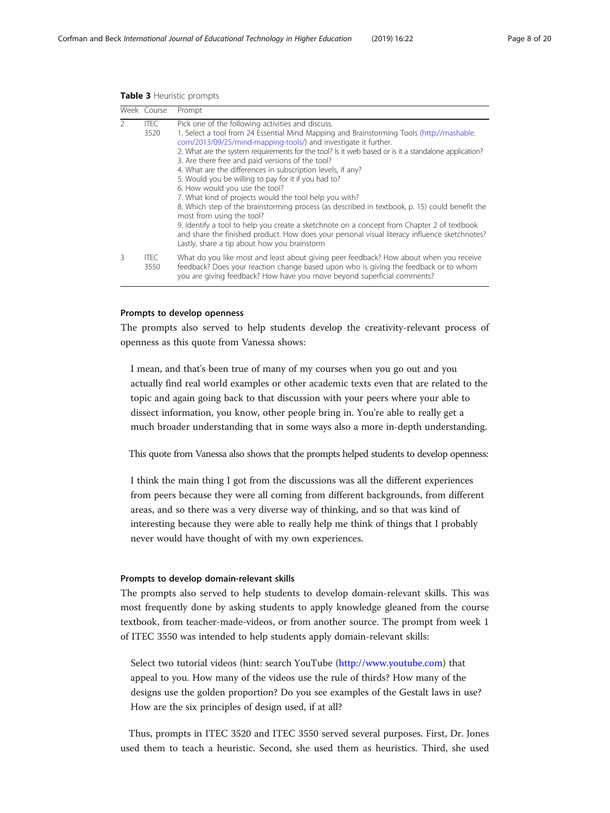| Week Course         | Prompt                                                                                                                                                                                                                                                                                                                                                                                                                                                                                                                                                                                                                                                                                                                                                                                                                                                                                                                                                                         |
|---------------------|--------------------------------------------------------------------------------------------------------------------------------------------------------------------------------------------------------------------------------------------------------------------------------------------------------------------------------------------------------------------------------------------------------------------------------------------------------------------------------------------------------------------------------------------------------------------------------------------------------------------------------------------------------------------------------------------------------------------------------------------------------------------------------------------------------------------------------------------------------------------------------------------------------------------------------------------------------------------------------|
| <b>ITEC</b><br>3520 | Pick one of the following activities and discuss.<br>1. Select a tool from 24 Essential Mind Mapping and Brainstorming Tools (http://mashable.<br>com/2013/09/25/mind-mapping-tools/) and investigate it further.<br>2. What are the system requirements for the tool? Is it web based or is it a standalone application?<br>3. Are there free and paid versions of the tool?<br>4. What are the differences in subscription levels, if any?<br>5. Would you be willing to pay for it if you had to?<br>6. How would you use the tool?<br>7. What kind of projects would the tool help you with?<br>8. Which step of the brainstorming process (as described in textbook, p. 15) could benefit the<br>most from using the tool?<br>9. Identify a tool to help you create a sketchnote on a concept from Chapter 2 of textbook<br>and share the finished product. How does your personal visual literacy influence sketchnotes?<br>Lastly, share a tip about how you brainstorm |
| ITFC.<br>3550       | What do you like most and least about giving peer feedback? How about when you receive<br>feedback? Does your reaction change based upon who is giving the feedback or to whom<br>you are giving feedback? How have you move beyond superficial comments?                                                                                                                                                                                                                                                                                                                                                                                                                                                                                                                                                                                                                                                                                                                      |

<span id="page-7-0"></span>Table 3 Heuristic prompts

#### Prompts to develop openness

The prompts also served to help students develop the creativity-relevant process of openness as this quote from Vanessa shows:

I mean, and that's been true of many of my courses when you go out and you actually find real world examples or other academic texts even that are related to the topic and again going back to that discussion with your peers where your able to dissect information, you know, other people bring in. You're able to really get a much broader understanding that in some ways also a more in-depth understanding.

This quote from Vanessa also shows that the prompts helped students to develop openness:

I think the main thing I got from the discussions was all the different experiences from peers because they were all coming from different backgrounds, from different areas, and so there was a very diverse way of thinking, and so that was kind of interesting because they were able to really help me think of things that I probably never would have thought of with my own experiences.

#### Prompts to develop domain-relevant skills

The prompts also served to help students to develop domain-relevant skills. This was most frequently done by asking students to apply knowledge gleaned from the course textbook, from teacher-made-videos, or from another source. The prompt from week 1 of ITEC 3550 was intended to help students apply domain-relevant skills:

Select two tutorial videos (hint: search YouTube (<http://www.youtube.com>) that appeal to you. How many of the videos use the rule of thirds? How many of the designs use the golden proportion? Do you see examples of the Gestalt laws in use? How are the six principles of design used, if at all?

Thus, prompts in ITEC 3520 and ITEC 3550 served several purposes. First, Dr. Jones used them to teach a heuristic. Second, she used them as heuristics. Third, she used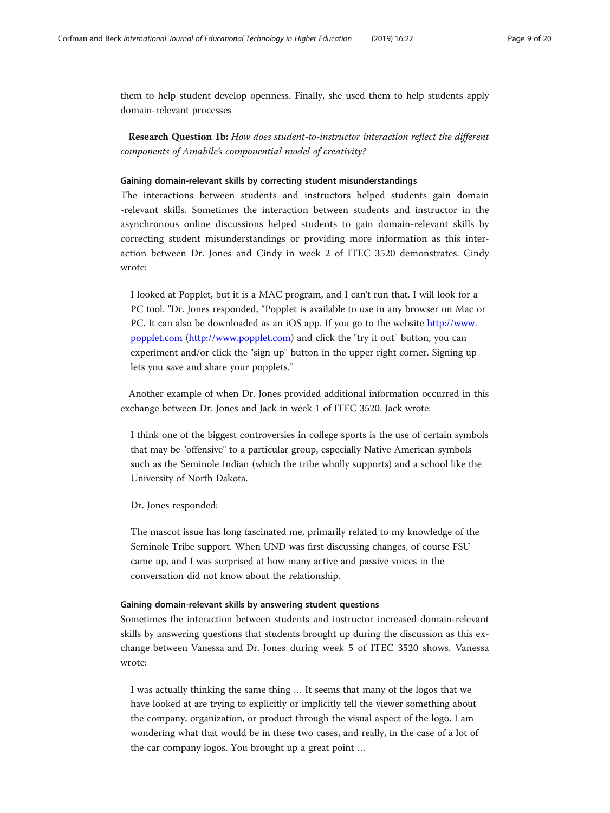them to help student develop openness. Finally, she used them to help students apply domain-relevant processes

Research Question 1b: How does student-to-instructor interaction reflect the different components of Amabile's componential model of creativity?

#### Gaining domain-relevant skills by correcting student misunderstandings

The interactions between students and instructors helped students gain domain -relevant skills. Sometimes the interaction between students and instructor in the asynchronous online discussions helped students to gain domain-relevant skills by correcting student misunderstandings or providing more information as this interaction between Dr. Jones and Cindy in week 2 of ITEC 3520 demonstrates. Cindy wrote:

I looked at Popplet, but it is a MAC program, and I can't run that. I will look for a PC tool. "Dr. Jones responded, "Popplet is available to use in any browser on Mac or PC. It can also be downloaded as an iOS app. If you go to the website [http://www.](http://www.popplet.com) [popplet.com](http://www.popplet.com) [\(http://www.popplet.com](http://www.popplet.com)) and click the "try it out" button, you can experiment and/or click the "sign up" button in the upper right corner. Signing up lets you save and share your popplets."

Another example of when Dr. Jones provided additional information occurred in this exchange between Dr. Jones and Jack in week 1 of ITEC 3520. Jack wrote:

I think one of the biggest controversies in college sports is the use of certain symbols that may be "offensive" to a particular group, especially Native American symbols such as the Seminole Indian (which the tribe wholly supports) and a school like the University of North Dakota.

Dr. Jones responded:

The mascot issue has long fascinated me, primarily related to my knowledge of the Seminole Tribe support. When UND was first discussing changes, of course FSU came up, and I was surprised at how many active and passive voices in the conversation did not know about the relationship.

#### Gaining domain-relevant skills by answering student questions

Sometimes the interaction between students and instructor increased domain-relevant skills by answering questions that students brought up during the discussion as this exchange between Vanessa and Dr. Jones during week 5 of ITEC 3520 shows. Vanessa wrote:

I was actually thinking the same thing … It seems that many of the logos that we have looked at are trying to explicitly or implicitly tell the viewer something about the company, organization, or product through the visual aspect of the logo. I am wondering what that would be in these two cases, and really, in the case of a lot of the car company logos. You brought up a great point …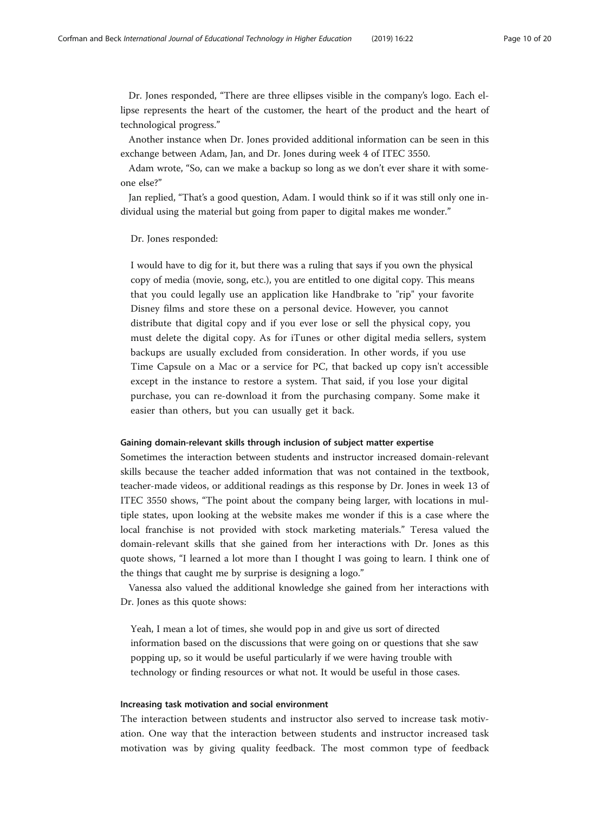Dr. Jones responded, "There are three ellipses visible in the company's logo. Each ellipse represents the heart of the customer, the heart of the product and the heart of technological progress."

Another instance when Dr. Jones provided additional information can be seen in this exchange between Adam, Jan, and Dr. Jones during week 4 of ITEC 3550.

Adam wrote, "So, can we make a backup so long as we don't ever share it with someone else?"

Jan replied, "That's a good question, Adam. I would think so if it was still only one individual using the material but going from paper to digital makes me wonder."

Dr. Jones responded:

I would have to dig for it, but there was a ruling that says if you own the physical copy of media (movie, song, etc.), you are entitled to one digital copy. This means that you could legally use an application like Handbrake to "rip" your favorite Disney films and store these on a personal device. However, you cannot distribute that digital copy and if you ever lose or sell the physical copy, you must delete the digital copy. As for iTunes or other digital media sellers, system backups are usually excluded from consideration. In other words, if you use Time Capsule on a Mac or a service for PC, that backed up copy isn't accessible except in the instance to restore a system. That said, if you lose your digital purchase, you can re-download it from the purchasing company. Some make it easier than others, but you can usually get it back.

#### Gaining domain-relevant skills through inclusion of subject matter expertise

Sometimes the interaction between students and instructor increased domain-relevant skills because the teacher added information that was not contained in the textbook, teacher-made videos, or additional readings as this response by Dr. Jones in week 13 of ITEC 3550 shows, "The point about the company being larger, with locations in multiple states, upon looking at the website makes me wonder if this is a case where the local franchise is not provided with stock marketing materials." Teresa valued the domain-relevant skills that she gained from her interactions with Dr. Jones as this quote shows, "I learned a lot more than I thought I was going to learn. I think one of the things that caught me by surprise is designing a logo."

Vanessa also valued the additional knowledge she gained from her interactions with Dr. Jones as this quote shows:

Yeah, I mean a lot of times, she would pop in and give us sort of directed information based on the discussions that were going on or questions that she saw popping up, so it would be useful particularly if we were having trouble with technology or finding resources or what not. It would be useful in those cases.

#### Increasing task motivation and social environment

The interaction between students and instructor also served to increase task motivation. One way that the interaction between students and instructor increased task motivation was by giving quality feedback. The most common type of feedback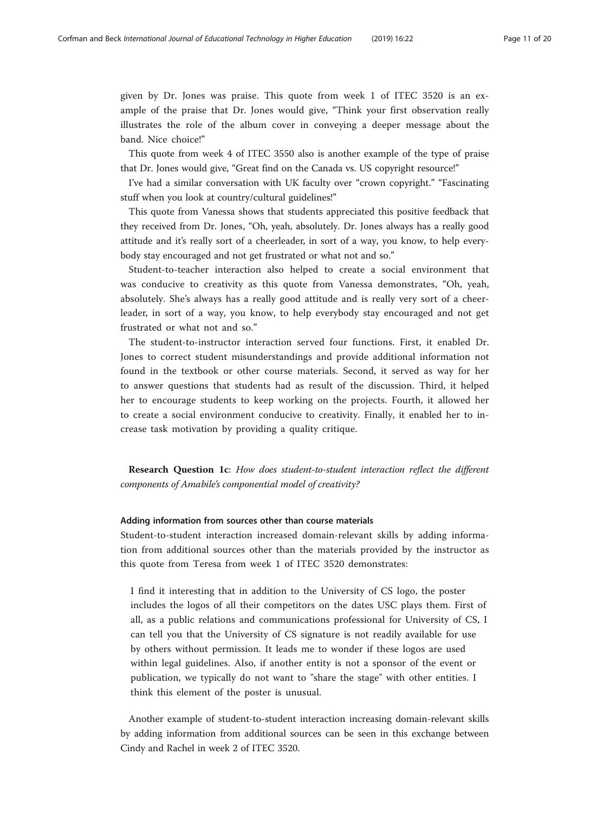given by Dr. Jones was praise. This quote from week 1 of ITEC 3520 is an example of the praise that Dr. Jones would give, "Think your first observation really illustrates the role of the album cover in conveying a deeper message about the band. Nice choice!"

This quote from week 4 of ITEC 3550 also is another example of the type of praise that Dr. Jones would give, "Great find on the Canada vs. US copyright resource!"

I've had a similar conversation with UK faculty over "crown copyright." "Fascinating stuff when you look at country/cultural guidelines!"

This quote from Vanessa shows that students appreciated this positive feedback that they received from Dr. Jones, "Oh, yeah, absolutely. Dr. Jones always has a really good attitude and it's really sort of a cheerleader, in sort of a way, you know, to help everybody stay encouraged and not get frustrated or what not and so."

Student-to-teacher interaction also helped to create a social environment that was conducive to creativity as this quote from Vanessa demonstrates, "Oh, yeah, absolutely. She's always has a really good attitude and is really very sort of a cheerleader, in sort of a way, you know, to help everybody stay encouraged and not get frustrated or what not and so."

The student-to-instructor interaction served four functions. First, it enabled Dr. Jones to correct student misunderstandings and provide additional information not found in the textbook or other course materials. Second, it served as way for her to answer questions that students had as result of the discussion. Third, it helped her to encourage students to keep working on the projects. Fourth, it allowed her to create a social environment conducive to creativity. Finally, it enabled her to increase task motivation by providing a quality critique.

Research Question 1c: How does student-to-student interaction reflect the different components of Amabile's componential model of creativity?

#### Adding information from sources other than course materials

Student-to-student interaction increased domain-relevant skills by adding information from additional sources other than the materials provided by the instructor as this quote from Teresa from week 1 of ITEC 3520 demonstrates:

I find it interesting that in addition to the University of CS logo, the poster includes the logos of all their competitors on the dates USC plays them. First of all, as a public relations and communications professional for University of CS, I can tell you that the University of CS signature is not readily available for use by others without permission. It leads me to wonder if these logos are used within legal guidelines. Also, if another entity is not a sponsor of the event or publication, we typically do not want to "share the stage" with other entities. I think this element of the poster is unusual.

Another example of student-to-student interaction increasing domain-relevant skills by adding information from additional sources can be seen in this exchange between Cindy and Rachel in week 2 of ITEC 3520.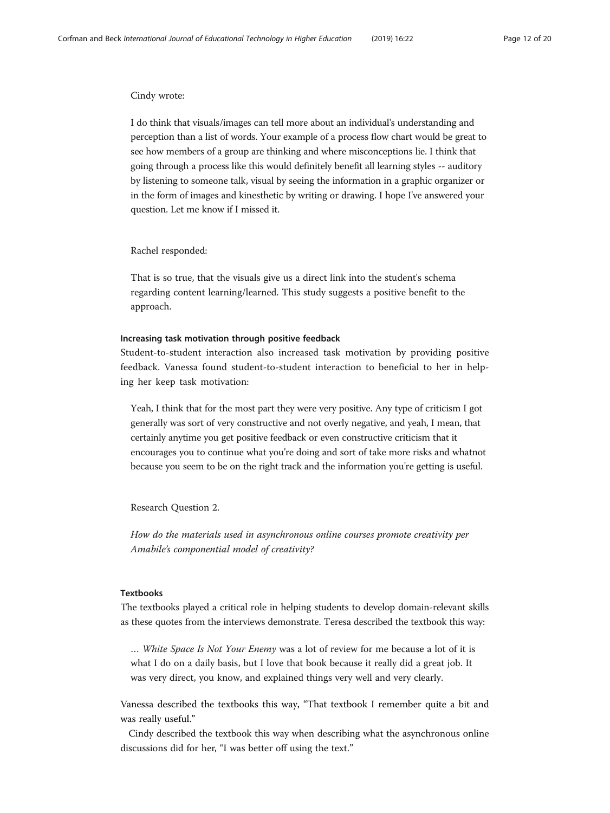#### Cindy wrote:

I do think that visuals/images can tell more about an individual's understanding and perception than a list of words. Your example of a process flow chart would be great to see how members of a group are thinking and where misconceptions lie. I think that going through a process like this would definitely benefit all learning styles -- auditory by listening to someone talk, visual by seeing the information in a graphic organizer or in the form of images and kinesthetic by writing or drawing. I hope I've answered your question. Let me know if I missed it.

#### Rachel responded:

That is so true, that the visuals give us a direct link into the student's schema regarding content learning/learned. This study suggests a positive benefit to the approach.

### Increasing task motivation through positive feedback

Student-to-student interaction also increased task motivation by providing positive feedback. Vanessa found student-to-student interaction to beneficial to her in helping her keep task motivation:

Yeah, I think that for the most part they were very positive. Any type of criticism I got generally was sort of very constructive and not overly negative, and yeah, I mean, that certainly anytime you get positive feedback or even constructive criticism that it encourages you to continue what you're doing and sort of take more risks and whatnot because you seem to be on the right track and the information you're getting is useful.

Research Question 2.

How do the materials used in asynchronous online courses promote creativity per Amabile's componential model of creativity?

### **Textbooks**

The textbooks played a critical role in helping students to develop domain-relevant skills as these quotes from the interviews demonstrate. Teresa described the textbook this way:

… White Space Is Not Your Enemy was a lot of review for me because a lot of it is what I do on a daily basis, but I love that book because it really did a great job. It was very direct, you know, and explained things very well and very clearly.

Vanessa described the textbooks this way, "That textbook I remember quite a bit and was really useful."

Cindy described the textbook this way when describing what the asynchronous online discussions did for her, "I was better off using the text."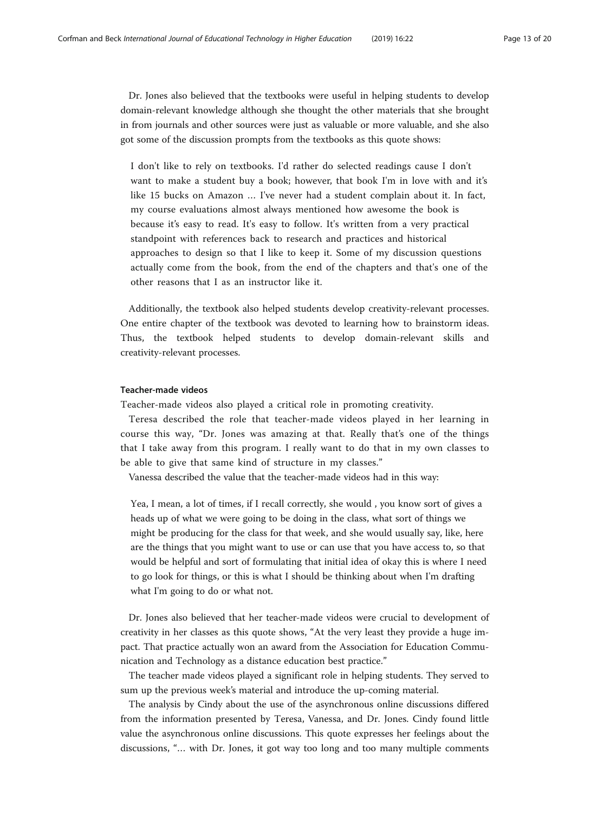Dr. Jones also believed that the textbooks were useful in helping students to develop domain-relevant knowledge although she thought the other materials that she brought in from journals and other sources were just as valuable or more valuable, and she also got some of the discussion prompts from the textbooks as this quote shows:

I don't like to rely on textbooks. I'd rather do selected readings cause I don't want to make a student buy a book; however, that book I'm in love with and it's like 15 bucks on Amazon … I've never had a student complain about it. In fact, my course evaluations almost always mentioned how awesome the book is because it's easy to read. It's easy to follow. It's written from a very practical standpoint with references back to research and practices and historical approaches to design so that I like to keep it. Some of my discussion questions actually come from the book, from the end of the chapters and that's one of the other reasons that I as an instructor like it.

Additionally, the textbook also helped students develop creativity-relevant processes. One entire chapter of the textbook was devoted to learning how to brainstorm ideas. Thus, the textbook helped students to develop domain-relevant skills and creativity-relevant processes.

#### Teacher-made videos

Teacher-made videos also played a critical role in promoting creativity.

Teresa described the role that teacher-made videos played in her learning in course this way, "Dr. Jones was amazing at that. Really that's one of the things that I take away from this program. I really want to do that in my own classes to be able to give that same kind of structure in my classes."

Vanessa described the value that the teacher-made videos had in this way:

Yea, I mean, a lot of times, if I recall correctly, she would , you know sort of gives a heads up of what we were going to be doing in the class, what sort of things we might be producing for the class for that week, and she would usually say, like, here are the things that you might want to use or can use that you have access to, so that would be helpful and sort of formulating that initial idea of okay this is where I need to go look for things, or this is what I should be thinking about when I'm drafting what I'm going to do or what not.

Dr. Jones also believed that her teacher-made videos were crucial to development of creativity in her classes as this quote shows, "At the very least they provide a huge impact. That practice actually won an award from the Association for Education Communication and Technology as a distance education best practice."

The teacher made videos played a significant role in helping students. They served to sum up the previous week's material and introduce the up-coming material.

The analysis by Cindy about the use of the asynchronous online discussions differed from the information presented by Teresa, Vanessa, and Dr. Jones. Cindy found little value the asynchronous online discussions. This quote expresses her feelings about the discussions, "… with Dr. Jones, it got way too long and too many multiple comments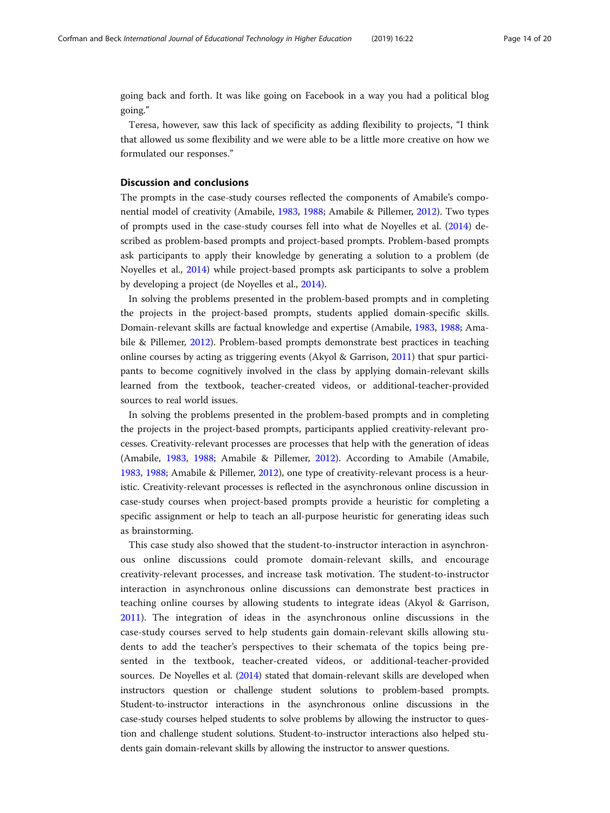going back and forth. It was like going on Facebook in a way you had a political blog going."

Teresa, however, saw this lack of specificity as adding flexibility to projects, "I think that allowed us some flexibility and we were able to be a little more creative on how we formulated our responses."

#### Discussion and conclusions

The prompts in the case-study courses reflected the components of Amabile's componential model of creativity (Amabile, [1983,](#page-18-0) [1988;](#page-18-0) Amabile & Pillemer, [2012\)](#page-18-0). Two types of prompts used in the case-study courses fell into what de Noyelles et al. ([2014\)](#page-18-0) described as problem-based prompts and project-based prompts. Problem-based prompts ask participants to apply their knowledge by generating a solution to a problem (de Noyelles et al., [2014\)](#page-18-0) while project-based prompts ask participants to solve a problem by developing a project (de Noyelles et al., [2014\)](#page-18-0).

In solving the problems presented in the problem-based prompts and in completing the projects in the project-based prompts, students applied domain-specific skills. Domain-relevant skills are factual knowledge and expertise (Amabile, [1983,](#page-18-0) [1988](#page-18-0); Amabile & Pillemer, [2012](#page-18-0)). Problem-based prompts demonstrate best practices in teaching online courses by acting as triggering events (Akyol & Garrison, [2011](#page-18-0)) that spur participants to become cognitively involved in the class by applying domain-relevant skills learned from the textbook, teacher-created videos, or additional-teacher-provided sources to real world issues.

In solving the problems presented in the problem-based prompts and in completing the projects in the project-based prompts, participants applied creativity-relevant processes. Creativity-relevant processes are processes that help with the generation of ideas (Amabile, [1983,](#page-18-0) [1988;](#page-18-0) Amabile & Pillemer, [2012\)](#page-18-0). According to Amabile (Amabile, [1983](#page-18-0), [1988;](#page-18-0) Amabile & Pillemer, [2012](#page-18-0)), one type of creativity-relevant process is a heuristic. Creativity-relevant processes is reflected in the asynchronous online discussion in case-study courses when project-based prompts provide a heuristic for completing a specific assignment or help to teach an all-purpose heuristic for generating ideas such as brainstorming.

This case study also showed that the student-to-instructor interaction in asynchronous online discussions could promote domain-relevant skills, and encourage creativity-relevant processes, and increase task motivation. The student-to-instructor interaction in asynchronous online discussions can demonstrate best practices in teaching online courses by allowing students to integrate ideas (Akyol & Garrison, [2011\)](#page-18-0). The integration of ideas in the asynchronous online discussions in the case-study courses served to help students gain domain-relevant skills allowing students to add the teacher's perspectives to their schemata of the topics being presented in the textbook, teacher-created videos, or additional-teacher-provided sources. De Noyelles et al. [\(2014\)](#page-18-0) stated that domain-relevant skills are developed when instructors question or challenge student solutions to problem-based prompts. Student-to-instructor interactions in the asynchronous online discussions in the case-study courses helped students to solve problems by allowing the instructor to question and challenge student solutions. Student-to-instructor interactions also helped students gain domain-relevant skills by allowing the instructor to answer questions.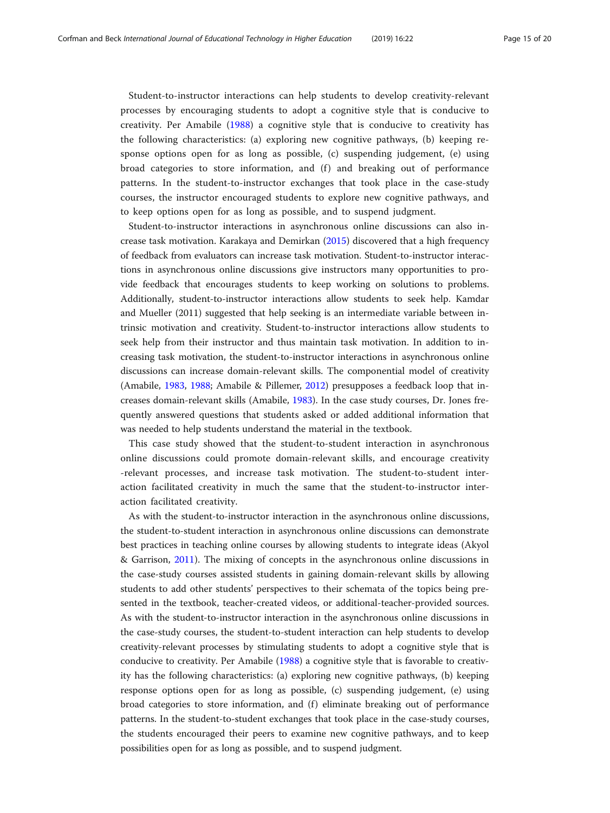Student-to-instructor interactions can help students to develop creativity-relevant processes by encouraging students to adopt a cognitive style that is conducive to creativity. Per Amabile [\(1988](#page-18-0)) a cognitive style that is conducive to creativity has the following characteristics: (a) exploring new cognitive pathways, (b) keeping response options open for as long as possible, (c) suspending judgement, (e) using broad categories to store information, and (f) and breaking out of performance patterns. In the student-to-instructor exchanges that took place in the case-study courses, the instructor encouraged students to explore new cognitive pathways, and to keep options open for as long as possible, and to suspend judgment.

Student-to-instructor interactions in asynchronous online discussions can also increase task motivation. Karakaya and Demirkan ([2015](#page-18-0)) discovered that a high frequency of feedback from evaluators can increase task motivation. Student-to-instructor interactions in asynchronous online discussions give instructors many opportunities to provide feedback that encourages students to keep working on solutions to problems. Additionally, student-to-instructor interactions allow students to seek help. Kamdar and Mueller (2011) suggested that help seeking is an intermediate variable between intrinsic motivation and creativity. Student-to-instructor interactions allow students to seek help from their instructor and thus maintain task motivation. In addition to increasing task motivation, the student-to-instructor interactions in asynchronous online discussions can increase domain-relevant skills. The componential model of creativity (Amabile, [1983](#page-18-0), [1988;](#page-18-0) Amabile & Pillemer, [2012\)](#page-18-0) presupposes a feedback loop that increases domain-relevant skills (Amabile, [1983](#page-18-0)). In the case study courses, Dr. Jones frequently answered questions that students asked or added additional information that was needed to help students understand the material in the textbook.

This case study showed that the student-to-student interaction in asynchronous online discussions could promote domain-relevant skills, and encourage creativity -relevant processes, and increase task motivation. The student-to-student interaction facilitated creativity in much the same that the student-to-instructor interaction facilitated creativity.

As with the student-to-instructor interaction in the asynchronous online discussions, the student-to-student interaction in asynchronous online discussions can demonstrate best practices in teaching online courses by allowing students to integrate ideas (Akyol & Garrison, [2011](#page-18-0)). The mixing of concepts in the asynchronous online discussions in the case-study courses assisted students in gaining domain-relevant skills by allowing students to add other students' perspectives to their schemata of the topics being presented in the textbook, teacher-created videos, or additional-teacher-provided sources. As with the student-to-instructor interaction in the asynchronous online discussions in the case-study courses, the student-to-student interaction can help students to develop creativity-relevant processes by stimulating students to adopt a cognitive style that is conducive to creativity. Per Amabile ([1988](#page-18-0)) a cognitive style that is favorable to creativity has the following characteristics: (a) exploring new cognitive pathways, (b) keeping response options open for as long as possible, (c) suspending judgement, (e) using broad categories to store information, and  $(f)$  eliminate breaking out of performance patterns. In the student-to-student exchanges that took place in the case-study courses, the students encouraged their peers to examine new cognitive pathways, and to keep possibilities open for as long as possible, and to suspend judgment.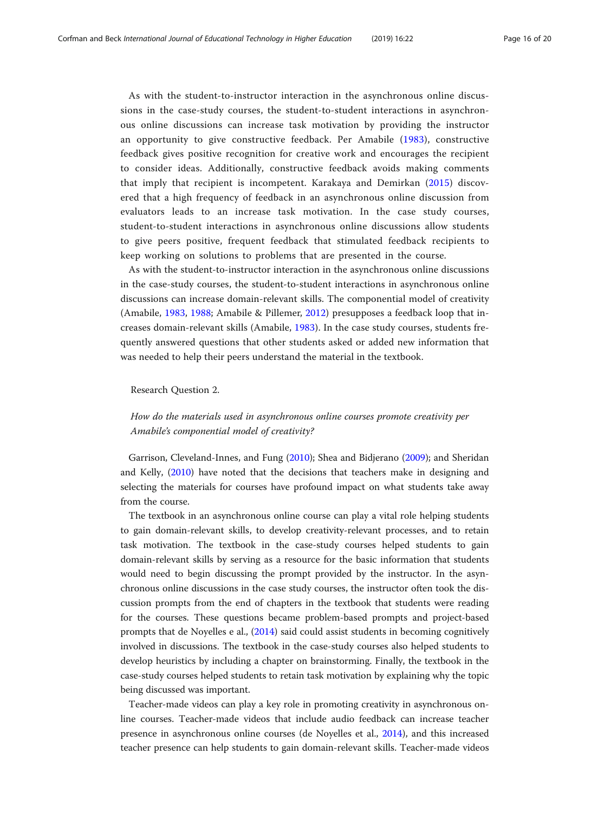As with the student-to-instructor interaction in the asynchronous online discussions in the case-study courses, the student-to-student interactions in asynchronous online discussions can increase task motivation by providing the instructor an opportunity to give constructive feedback. Per Amabile ([1983](#page-18-0)), constructive feedback gives positive recognition for creative work and encourages the recipient to consider ideas. Additionally, constructive feedback avoids making comments that imply that recipient is incompetent. Karakaya and Demirkan ([2015](#page-18-0)) discovered that a high frequency of feedback in an asynchronous online discussion from evaluators leads to an increase task motivation. In the case study courses, student-to-student interactions in asynchronous online discussions allow students to give peers positive, frequent feedback that stimulated feedback recipients to keep working on solutions to problems that are presented in the course.

As with the student-to-instructor interaction in the asynchronous online discussions in the case-study courses, the student-to-student interactions in asynchronous online discussions can increase domain-relevant skills. The componential model of creativity (Amabile, [1983,](#page-18-0) [1988](#page-18-0); Amabile & Pillemer, [2012](#page-18-0)) presupposes a feedback loop that increases domain-relevant skills (Amabile, [1983\)](#page-18-0). In the case study courses, students frequently answered questions that other students asked or added new information that was needed to help their peers understand the material in the textbook.

Research Question 2.

## How do the materials used in asynchronous online courses promote creativity per Amabile's componential model of creativity?

Garrison, Cleveland-Innes, and Fung ([2010](#page-18-0)); Shea and Bidjerano ([2009](#page-19-0)); and Sheridan and Kelly, ([2010\)](#page-19-0) have noted that the decisions that teachers make in designing and selecting the materials for courses have profound impact on what students take away from the course.

The textbook in an asynchronous online course can play a vital role helping students to gain domain-relevant skills, to develop creativity-relevant processes, and to retain task motivation. The textbook in the case-study courses helped students to gain domain-relevant skills by serving as a resource for the basic information that students would need to begin discussing the prompt provided by the instructor. In the asynchronous online discussions in the case study courses, the instructor often took the discussion prompts from the end of chapters in the textbook that students were reading for the courses. These questions became problem-based prompts and project-based prompts that de Noyelles e al., [\(2014](#page-18-0)) said could assist students in becoming cognitively involved in discussions. The textbook in the case-study courses also helped students to develop heuristics by including a chapter on brainstorming. Finally, the textbook in the case-study courses helped students to retain task motivation by explaining why the topic being discussed was important.

Teacher-made videos can play a key role in promoting creativity in asynchronous online courses. Teacher-made videos that include audio feedback can increase teacher presence in asynchronous online courses (de Noyelles et al., [2014\)](#page-18-0), and this increased teacher presence can help students to gain domain-relevant skills. Teacher-made videos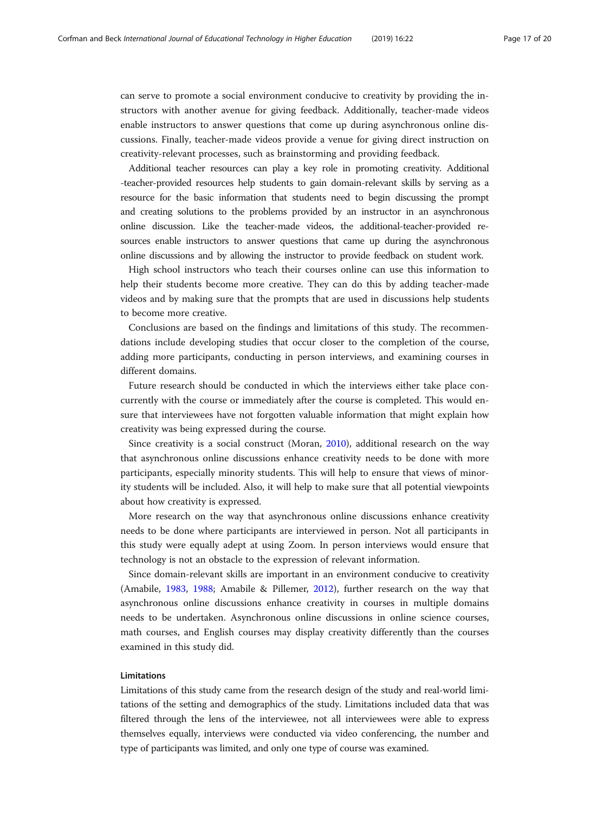can serve to promote a social environment conducive to creativity by providing the instructors with another avenue for giving feedback. Additionally, teacher-made videos enable instructors to answer questions that come up during asynchronous online discussions. Finally, teacher-made videos provide a venue for giving direct instruction on creativity-relevant processes, such as brainstorming and providing feedback.

Additional teacher resources can play a key role in promoting creativity. Additional -teacher-provided resources help students to gain domain-relevant skills by serving as a resource for the basic information that students need to begin discussing the prompt and creating solutions to the problems provided by an instructor in an asynchronous online discussion. Like the teacher-made videos, the additional-teacher-provided resources enable instructors to answer questions that came up during the asynchronous online discussions and by allowing the instructor to provide feedback on student work.

High school instructors who teach their courses online can use this information to help their students become more creative. They can do this by adding teacher-made videos and by making sure that the prompts that are used in discussions help students to become more creative.

Conclusions are based on the findings and limitations of this study. The recommendations include developing studies that occur closer to the completion of the course, adding more participants, conducting in person interviews, and examining courses in different domains.

Future research should be conducted in which the interviews either take place concurrently with the course or immediately after the course is completed. This would ensure that interviewees have not forgotten valuable information that might explain how creativity was being expressed during the course.

Since creativity is a social construct (Moran, [2010](#page-18-0)), additional research on the way that asynchronous online discussions enhance creativity needs to be done with more participants, especially minority students. This will help to ensure that views of minority students will be included. Also, it will help to make sure that all potential viewpoints about how creativity is expressed.

More research on the way that asynchronous online discussions enhance creativity needs to be done where participants are interviewed in person. Not all participants in this study were equally adept at using Zoom. In person interviews would ensure that technology is not an obstacle to the expression of relevant information.

Since domain-relevant skills are important in an environment conducive to creativity (Amabile, [1983,](#page-18-0) [1988](#page-18-0); Amabile & Pillemer, [2012\)](#page-18-0), further research on the way that asynchronous online discussions enhance creativity in courses in multiple domains needs to be undertaken. Asynchronous online discussions in online science courses, math courses, and English courses may display creativity differently than the courses examined in this study did.

### Limitations

Limitations of this study came from the research design of the study and real-world limitations of the setting and demographics of the study. Limitations included data that was filtered through the lens of the interviewee, not all interviewees were able to express themselves equally, interviews were conducted via video conferencing, the number and type of participants was limited, and only one type of course was examined.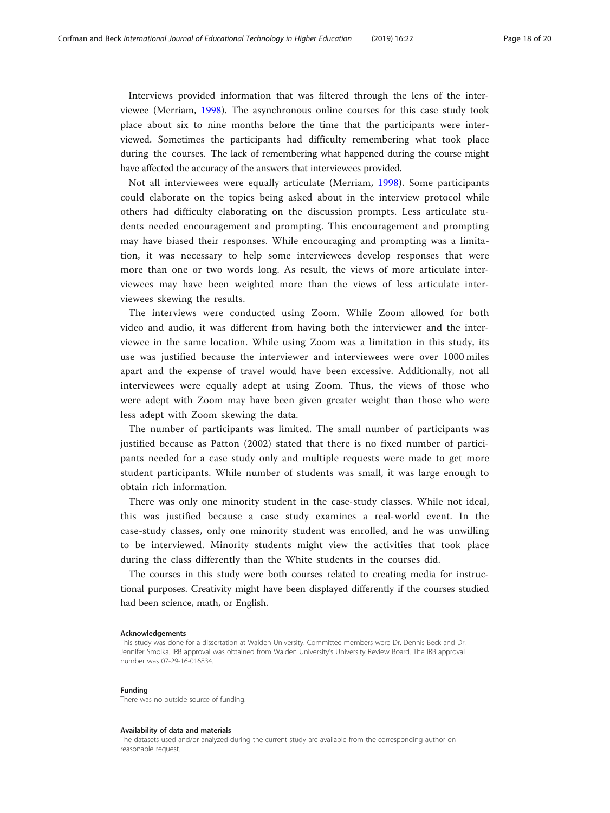Interviews provided information that was filtered through the lens of the interviewee (Merriam, [1998](#page-18-0)). The asynchronous online courses for this case study took place about six to nine months before the time that the participants were interviewed. Sometimes the participants had difficulty remembering what took place during the courses. The lack of remembering what happened during the course might have affected the accuracy of the answers that interviewees provided.

Not all interviewees were equally articulate (Merriam, [1998](#page-18-0)). Some participants could elaborate on the topics being asked about in the interview protocol while others had difficulty elaborating on the discussion prompts. Less articulate students needed encouragement and prompting. This encouragement and prompting may have biased their responses. While encouraging and prompting was a limitation, it was necessary to help some interviewees develop responses that were more than one or two words long. As result, the views of more articulate interviewees may have been weighted more than the views of less articulate interviewees skewing the results.

The interviews were conducted using Zoom. While Zoom allowed for both video and audio, it was different from having both the interviewer and the interviewee in the same location. While using Zoom was a limitation in this study, its use was justified because the interviewer and interviewees were over 1000 miles apart and the expense of travel would have been excessive. Additionally, not all interviewees were equally adept at using Zoom. Thus, the views of those who were adept with Zoom may have been given greater weight than those who were less adept with Zoom skewing the data.

The number of participants was limited. The small number of participants was justified because as Patton (2002) stated that there is no fixed number of participants needed for a case study only and multiple requests were made to get more student participants. While number of students was small, it was large enough to obtain rich information.

There was only one minority student in the case-study classes. While not ideal, this was justified because a case study examines a real-world event. In the case-study classes, only one minority student was enrolled, and he was unwilling to be interviewed. Minority students might view the activities that took place during the class differently than the White students in the courses did.

The courses in this study were both courses related to creating media for instructional purposes. Creativity might have been displayed differently if the courses studied had been science, math, or English.

#### Acknowledgements

This study was done for a dissertation at Walden University. Committee members were Dr. Dennis Beck and Dr. Jennifer Smolka. IRB approval was obtained from Walden University's University Review Board. The IRB approval number was 07-29-16-016834.

#### Funding

There was no outside source of funding.

#### Availability of data and materials

The datasets used and/or analyzed during the current study are available from the corresponding author on reasonable request.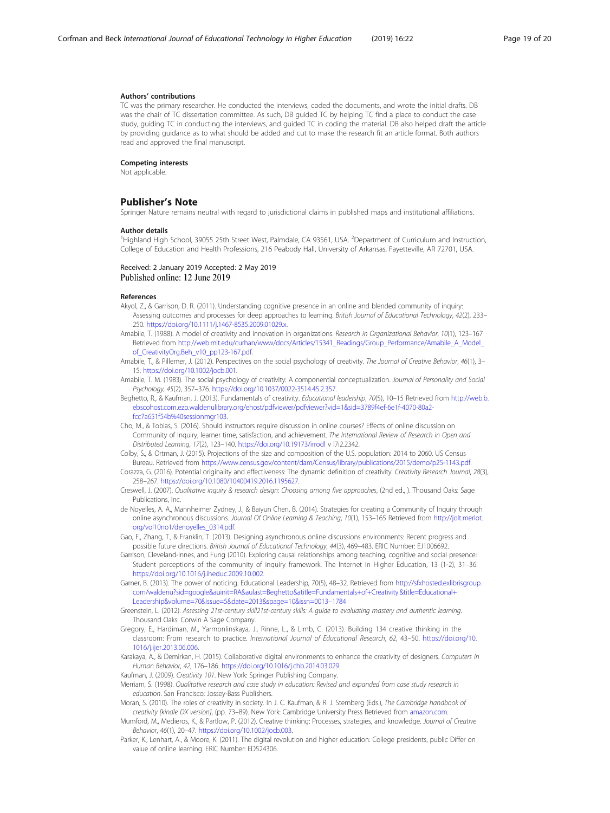#### <span id="page-18-0"></span>Authors' contributions

TC was the primary researcher. He conducted the interviews, coded the documents, and wrote the initial drafts. DB was the chair of TC dissertation committee. As such, DB guided TC by helping TC find a place to conduct the case study, guiding TC in conducting the interviews, and guided TC in coding the material. DB also helped draft the article by providing guidance as to what should be added and cut to make the research fit an article format. Both authors read and approved the final manuscript.

#### Competing interests

Not applicable.

# Publisher's Note

Springer Nature remains neutral with regard to jurisdictional claims in published maps and institutional affiliations.

#### Author details

<sup>1</sup>Highland High School, 39055 25th Street West, Palmdale, CA 93561, USA. <sup>2</sup>Department of Curriculum and Instruction, College of Education and Health Professions, 216 Peabody Hall, University of Arkansas, Fayetteville, AR 72701, USA.

#### Received: 2 January 2019 Accepted: 2 May 2019 Published online: 12 June 2019

#### References

- Akyol, Z., & Garrison, D. R. (2011). Understanding cognitive presence in an online and blended community of inquiry: Assessing outcomes and processes for deep approaches to learning. British Journal of Educational Technology, 42(2), 233– 250. [https://doi.org/10.1111/j.1467-8535.2009.01029.x.](https://doi.org/10.1111/j.1467-8535.2009.01029.x)
- Amabile, T. (1988). A model of creativity and innovation in organizations. Research in Organizational Behavior, 10(1), 123–167 Retrieved from [http://web.mit.edu/curhan/www/docs/Articles/15341\\_Readings/Group\\_Performance/Amabile\\_A\\_Model\\_](http://web.mit.edu/curhan/www/docs/Articles/15341_Readings/Group_Performance/Amabile_A_Model_of_CreativityOrg.Beh_v10_pp123-167.pdf) [of\\_CreativityOrg.Beh\\_v10\\_pp123-167.pdf.](http://web.mit.edu/curhan/www/docs/Articles/15341_Readings/Group_Performance/Amabile_A_Model_of_CreativityOrg.Beh_v10_pp123-167.pdf)
- Amabile, T., & Pillemer, J. (2012). Perspectives on the social psychology of creativity. The Journal of Creative Behavior, 46(1), 3-15. [https://doi.org/10.1002/jocb.001.](https://doi.org/10.1002/jocb.001)
- Amabile, T. M. (1983). The social psychology of creativity: A componential conceptualization. Journal of Personality and Social Psychology, 45(2), 357–376. [https://doi.org/10.1037/0022-3514.45.2.357.](https://doi.org/10.1037/0022-3514.45.2.357)
- Beghetto, R., & Kaufman, J. (2013). Fundamentals of creativity. Educational leadership, 70(5), 10–15 Retrieved from [http://web.b.](http://web.b.ebscohost.com.ezp.waldenulibrary.org/ehost/pdfviewer/pdfviewer?vid=1&sid=3789f4ef-6e1f-4070-80a2-fcc7a651f54b%40sessionmgr103) [ebscohost.com.ezp.waldenulibrary.org/ehost/pdfviewer/pdfviewer?vid=1&sid=3789f4ef-6e1f-4070-80a2](http://web.b.ebscohost.com.ezp.waldenulibrary.org/ehost/pdfviewer/pdfviewer?vid=1&sid=3789f4ef-6e1f-4070-80a2-fcc7a651f54b%40sessionmgr103) [fcc7a651f54b%40sessionmgr103](http://web.b.ebscohost.com.ezp.waldenulibrary.org/ehost/pdfviewer/pdfviewer?vid=1&sid=3789f4ef-6e1f-4070-80a2-fcc7a651f54b%40sessionmgr103).
- Cho, M., & Tobias, S. (2016). Should instructors require discussion in online courses? Effects of online discussion on Community of Inquiry, learner time, satisfaction, and achievement. The International Review of Research in Open and Distributed Learning, 17(2), 123–140. <https://doi.org/10.19173/irrodl> v l7i2.2342.
- Colby, S., & Ortman, J. (2015). Projections of the size and composition of the U.S. population: 2014 to 2060. US Census Bureau. Retrieved from <https://www.census.gov/content/dam/Census/library/publications/2015/demo/p25-1143.pdf>.
- Corazza, G. (2016). Potential originality and effectiveness: The dynamic definition of creativity. Creativity Research Journal, 28(3), 258–267. <https://doi.org/10.1080/10400419.2016.1195627>.
- Creswell, J. (2007). Qualitative inquiry & research design: Choosing among five approaches, (2nd ed., ). Thousand Oaks: Sage Publications, Inc.
- de Noyelles, A. A., Mannheimer Zydney, J., & Baiyun Chen, B. (2014). Strategies for creating a Community of Inquiry through online asynchronous discussions. Journal Of Online Learning & Teaching, 10(1), 153–165 Retrieved from [http://jolt.merlot.](http://jolt.merlot.org/vol10no1/denoyelles_0314.pdf) [org/vol10no1/denoyelles\\_0314.pdf.](http://jolt.merlot.org/vol10no1/denoyelles_0314.pdf)
- Gao, F., Zhang, T., & Franklin, T. (2013). Designing asynchronous online discussions environments: Recent progress and possible future directions. British Journal of Educational Technology, 44(3), 469–483. ERIC Number: EJ1006692.
- Garrison, Cleveland-Innes, and Fung (2010). Exploring causal relationships among teaching, cognitive and social presence: Student perceptions of the community of inquiry framework. The Internet in Higher Education, 13 (1-2), 31–36. <https://doi.org/10.1016/j.iheduc.2009.10.002>.
- Garner, B. (2013). The power of noticing. Educational Leadership, 70(5), 48–32. Retrieved from [http://sfxhosted.exlibrisgroup.](http://sfxhosted.exlibrisgroup.com/waldenu?sid=google&auinit=RA&aulast=Beghetto&atitle=Fundamentals+of+Creativity.&title=Educational+Leadership&volume=70&issue=5&date=2013&spage=10&issn=0013%E2%80%931784) [com/waldenu?sid=google&auinit=RA&aulast=Beghetto&atitle=Fundamentals+of+Creativity.&title=Educational+](http://sfxhosted.exlibrisgroup.com/waldenu?sid=google&auinit=RA&aulast=Beghetto&atitle=Fundamentals+of+Creativity.&title=Educational+Leadership&volume=70&issue=5&date=2013&spage=10&issn=0013%E2%80%931784) [Leadership&volume=70&issue=5&date=2013&spage=10&issn=0013](http://sfxhosted.exlibrisgroup.com/waldenu?sid=google&auinit=RA&aulast=Beghetto&atitle=Fundamentals+of+Creativity.&title=Educational+Leadership&volume=70&issue=5&date=2013&spage=10&issn=0013%E2%80%931784)–1784
- Greenstein, L. (2012). Assessing 21st-century skill21st-century skills: A guide to evaluating mastery and authentic learning. Thousand Oaks: Corwin A Sage Company.
- Gregory, E., Hardiman, M., Yarmonlinskaya, J., Rinne, L., & Limb, C. (2013). Building 134 creative thinking in the classroom: From research to practice. International Journal of Educational Research, 62, 43–50. [https://doi.org/10.](https://doi.org/10.1016/j.ijer.2013.06.006) [1016/j.ijer.2013.06.006](https://doi.org/10.1016/j.ijer.2013.06.006).
- Karakaya, A., & Demirkan, H. (2015). Collaborative digital environments to enhance the creativity of designers. Computers in Human Behavior, 42, 176–186. <https://doi.org/10.1016/j.chb.2014.03.029>.

Kaufman, J. (2009). Creativity 101. New York: Springer Publishing Company.

- Merriam, S. (1998). Qualitative research and case study in education: Revised and expanded from case study research in education. San Francisco: Jossey-Bass Publishers.
- Moran, S. (2010). The roles of creativity in society. In J. C. Kaufman, & R. J. Sternberg (Eds.), The Cambridge handbook of creativity [kindle DX version], (pp. 73–89). New York: Cambridge University Press Retrieved from [amazon.com.](http://amazon.com)
- Mumford, M., Medieros, K., & Partlow, P. (2012). Creative thinking: Processes, strategies, and knowledge. Journal of Creative Behavior, 46(1), 20–47. [https://doi.org/10.1002/jocb.003.](https://doi.org/10.1002/jocb.003)
- Parker, K., Lenhart, A., & Moore, K. (2011). The digital revolution and higher education: College presidents, public Differ on value of online learning. ERIC Number: ED524306.